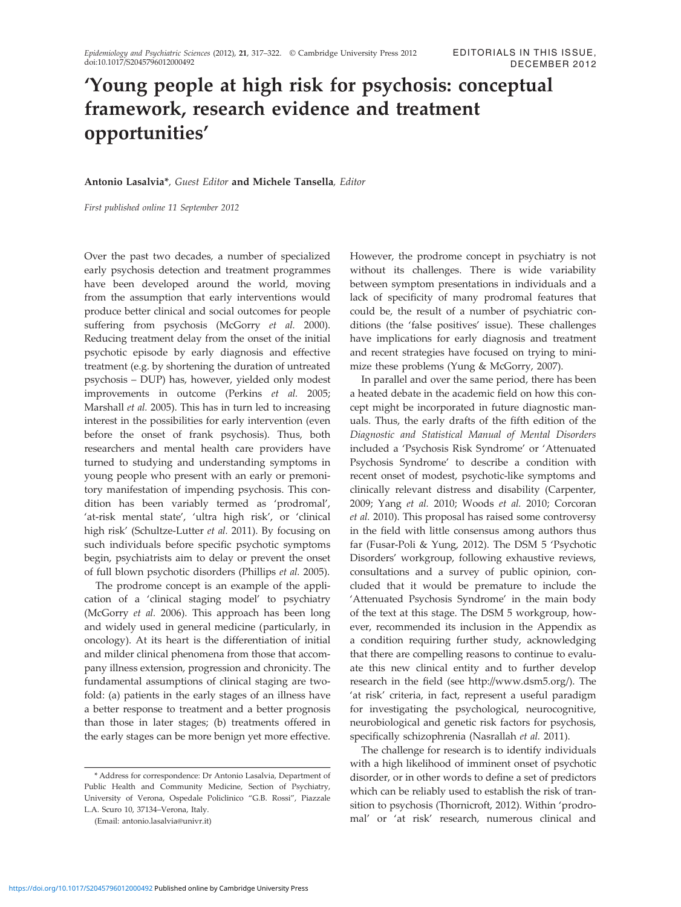## 'Young people at high risk for psychosis: conceptual framework, research evidence and treatment opportunities'

## Antonio Lasalvia\*, Guest Editor and Michele Tansella, Editor

First published online 11 September 2012

Over the past two decades, a number of specialized early psychosis detection and treatment programmes have been developed around the world, moving from the assumption that early interventions would produce better clinical and social outcomes for people suffering from psychosis (McGorry et al. 2000). Reducing treatment delay from the onset of the initial psychotic episode by early diagnosis and effective treatment (e.g. by shortening the duration of untreated psychosis – DUP) has, however, yielded only modest improvements in outcome (Perkins et al. 2005; Marshall et al. 2005). This has in turn led to increasing interest in the possibilities for early intervention (even before the onset of frank psychosis). Thus, both researchers and mental health care providers have turned to studying and understanding symptoms in young people who present with an early or premonitory manifestation of impending psychosis. This condition has been variably termed as 'prodromal', 'at-risk mental state', 'ultra high risk', or 'clinical high risk' (Schultze-Lutter et al. 2011). By focusing on such individuals before specific psychotic symptoms begin, psychiatrists aim to delay or prevent the onset of full blown psychotic disorders (Phillips et al. 2005).

The prodrome concept is an example of the application of a 'clinical staging model' to psychiatry (McGorry et al. 2006). This approach has been long and widely used in general medicine (particularly, in oncology). At its heart is the differentiation of initial and milder clinical phenomena from those that accompany illness extension, progression and chronicity. The fundamental assumptions of clinical staging are twofold: (a) patients in the early stages of an illness have a better response to treatment and a better prognosis than those in later stages; (b) treatments offered in the early stages can be more benign yet more effective.

However, the prodrome concept in psychiatry is not without its challenges. There is wide variability between symptom presentations in individuals and a lack of specificity of many prodromal features that could be, the result of a number of psychiatric conditions (the 'false positives' issue). These challenges have implications for early diagnosis and treatment and recent strategies have focused on trying to minimize these problems (Yung & McGorry, 2007).

In parallel and over the same period, there has been a heated debate in the academic field on how this concept might be incorporated in future diagnostic manuals. Thus, the early drafts of the fifth edition of the Diagnostic and Statistical Manual of Mental Disorders included a 'Psychosis Risk Syndrome' or 'Attenuated Psychosis Syndrome' to describe a condition with recent onset of modest, psychotic-like symptoms and clinically relevant distress and disability (Carpenter, 2009; Yang et al. 2010; Woods et al. 2010; Corcoran et al. 2010). This proposal has raised some controversy in the field with little consensus among authors thus far (Fusar-Poli & Yung, 2012). The DSM 5 'Psychotic Disorders' workgroup, following exhaustive reviews, consultations and a survey of public opinion, concluded that it would be premature to include the 'Attenuated Psychosis Syndrome' in the main body of the text at this stage. The DSM 5 workgroup, however, recommended its inclusion in the Appendix as a condition requiring further study, acknowledging that there are compelling reasons to continue to evaluate this new clinical entity and to further develop research in the field (see http://www.dsm5.org/). The 'at risk' criteria, in fact, represent a useful paradigm for investigating the psychological, neurocognitive, neurobiological and genetic risk factors for psychosis, specifically schizophrenia (Nasrallah et al. 2011).

The challenge for research is to identify individuals with a high likelihood of imminent onset of psychotic disorder, or in other words to define a set of predictors which can be reliably used to establish the risk of transition to psychosis (Thornicroft, 2012). Within 'prodromal' or 'at risk' research, numerous clinical and

<sup>\*</sup> Address for correspondence: Dr Antonio Lasalvia, Department of Public Health and Community Medicine, Section of Psychiatry, University of Verona, Ospedale Policlinico "G.B. Rossi", Piazzale L.A. Scuro 10, 37134–Verona, Italy.

<sup>(</sup>Email: antonio.lasalvia@univr.it)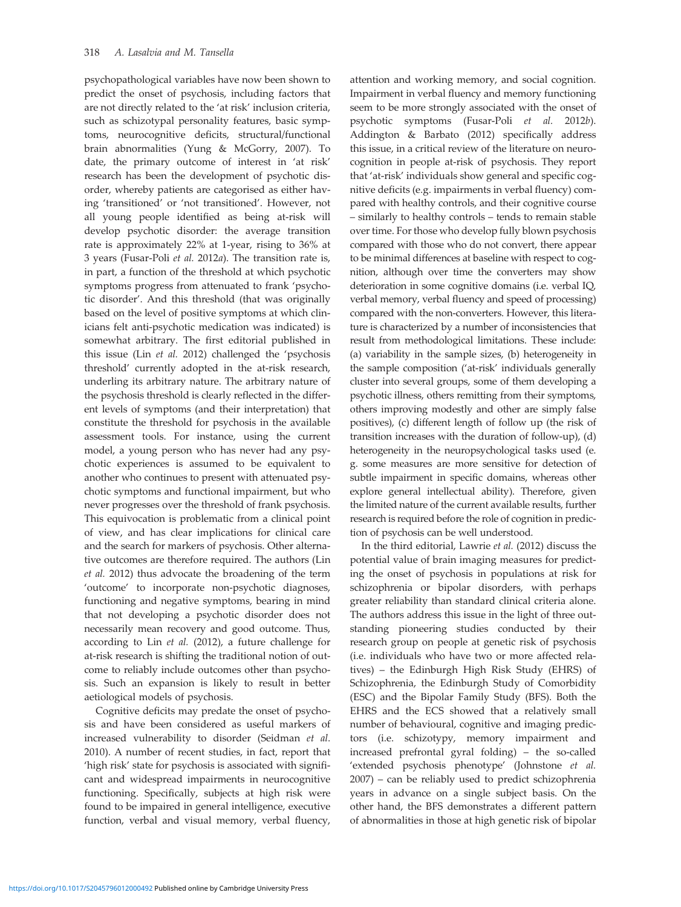psychopathological variables have now been shown to predict the onset of psychosis, including factors that are not directly related to the 'at risk' inclusion criteria, such as schizotypal personality features, basic symptoms, neurocognitive deficits, structural/functional brain abnormalities (Yung & McGorry, 2007). To date, the primary outcome of interest in 'at risk' research has been the development of psychotic disorder, whereby patients are categorised as either having 'transitioned' or 'not transitioned'. However, not all young people identified as being at-risk will develop psychotic disorder: the average transition rate is approximately 22% at 1-year, rising to 36% at 3 years (Fusar-Poli et al. 2012a). The transition rate is, in part, a function of the threshold at which psychotic symptoms progress from attenuated to frank 'psychotic disorder'. And this threshold (that was originally based on the level of positive symptoms at which clinicians felt anti-psychotic medication was indicated) is somewhat arbitrary. The first editorial published in this issue (Lin et al. 2012) challenged the 'psychosis threshold' currently adopted in the at-risk research, underling its arbitrary nature. The arbitrary nature of the psychosis threshold is clearly reflected in the different levels of symptoms (and their interpretation) that constitute the threshold for psychosis in the available assessment tools. For instance, using the current model, a young person who has never had any psychotic experiences is assumed to be equivalent to another who continues to present with attenuated psychotic symptoms and functional impairment, but who never progresses over the threshold of frank psychosis. This equivocation is problematic from a clinical point of view, and has clear implications for clinical care and the search for markers of psychosis. Other alternative outcomes are therefore required. The authors (Lin et al. 2012) thus advocate the broadening of the term 'outcome' to incorporate non-psychotic diagnoses, functioning and negative symptoms, bearing in mind that not developing a psychotic disorder does not necessarily mean recovery and good outcome. Thus, according to Lin et al. (2012), a future challenge for at-risk research is shifting the traditional notion of outcome to reliably include outcomes other than psychosis. Such an expansion is likely to result in better aetiological models of psychosis.

Cognitive deficits may predate the onset of psychosis and have been considered as useful markers of increased vulnerability to disorder (Seidman et al. 2010). A number of recent studies, in fact, report that 'high risk' state for psychosis is associated with significant and widespread impairments in neurocognitive functioning. Specifically, subjects at high risk were found to be impaired in general intelligence, executive function, verbal and visual memory, verbal fluency, attention and working memory, and social cognition. Impairment in verbal fluency and memory functioning seem to be more strongly associated with the onset of psychotic symptoms (Fusar-Poli et al. 2012b). Addington & Barbato (2012) specifically address this issue, in a critical review of the literature on neurocognition in people at-risk of psychosis. They report that 'at-risk' individuals show general and specific cognitive deficits (e.g. impairments in verbal fluency) compared with healthy controls, and their cognitive course – similarly to healthy controls – tends to remain stable over time. For those who develop fully blown psychosis compared with those who do not convert, there appear to be minimal differences at baseline with respect to cognition, although over time the converters may show deterioration in some cognitive domains (i.e. verbal IQ, verbal memory, verbal fluency and speed of processing) compared with the non-converters. However, this literature is characterized by a number of inconsistencies that result from methodological limitations. These include: (a) variability in the sample sizes, (b) heterogeneity in the sample composition ('at-risk' individuals generally cluster into several groups, some of them developing a psychotic illness, others remitting from their symptoms, others improving modestly and other are simply false positives), (c) different length of follow up (the risk of transition increases with the duration of follow-up), (d) heterogeneity in the neuropsychological tasks used (e. g. some measures are more sensitive for detection of subtle impairment in specific domains, whereas other explore general intellectual ability). Therefore, given the limited nature of the current available results, further research is required before the role of cognition in prediction of psychosis can be well understood.

In the third editorial, Lawrie et al. (2012) discuss the potential value of brain imaging measures for predicting the onset of psychosis in populations at risk for schizophrenia or bipolar disorders, with perhaps greater reliability than standard clinical criteria alone. The authors address this issue in the light of three outstanding pioneering studies conducted by their research group on people at genetic risk of psychosis (i.e. individuals who have two or more affected relatives) – the Edinburgh High Risk Study (EHRS) of Schizophrenia, the Edinburgh Study of Comorbidity (ESC) and the Bipolar Family Study (BFS). Both the EHRS and the ECS showed that a relatively small number of behavioural, cognitive and imaging predictors (i.e. schizotypy, memory impairment and increased prefrontal gyral folding) – the so-called 'extended psychosis phenotype' (Johnstone et al. 2007) – can be reliably used to predict schizophrenia years in advance on a single subject basis. On the other hand, the BFS demonstrates a different pattern of abnormalities in those at high genetic risk of bipolar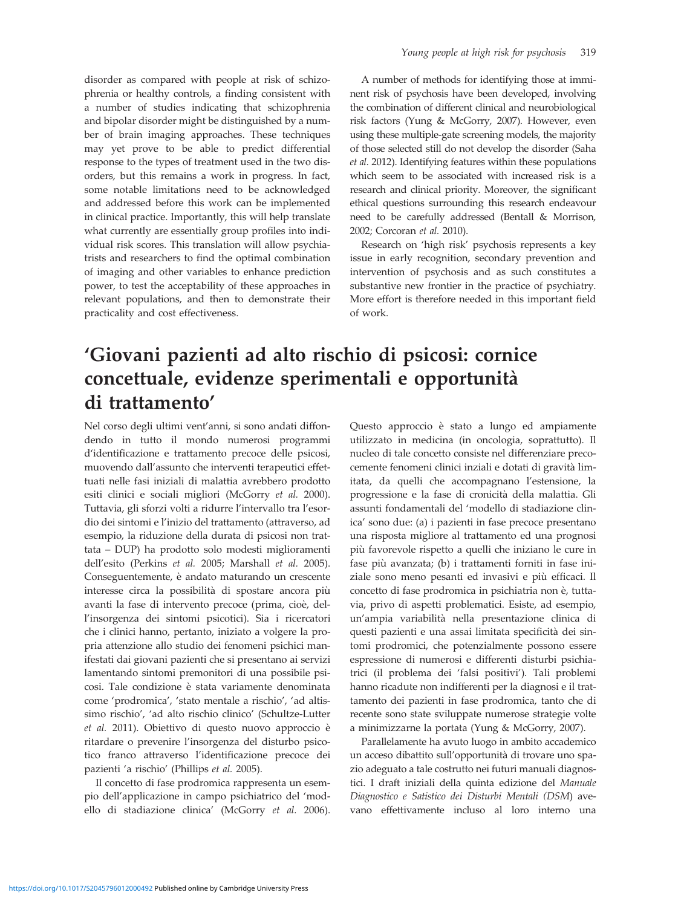disorder as compared with people at risk of schizophrenia or healthy controls, a finding consistent with a number of studies indicating that schizophrenia and bipolar disorder might be distinguished by a number of brain imaging approaches. These techniques may yet prove to be able to predict differential response to the types of treatment used in the two disorders, but this remains a work in progress. In fact, some notable limitations need to be acknowledged and addressed before this work can be implemented in clinical practice. Importantly, this will help translate what currently are essentially group profiles into individual risk scores. This translation will allow psychiatrists and researchers to find the optimal combination of imaging and other variables to enhance prediction power, to test the acceptability of these approaches in relevant populations, and then to demonstrate their practicality and cost effectiveness.

A number of methods for identifying those at imminent risk of psychosis have been developed, involving the combination of different clinical and neurobiological risk factors (Yung & McGorry, 2007). However, even using these multiple-gate screening models, the majority of those selected still do not develop the disorder (Saha et al. 2012). Identifying features within these populations which seem to be associated with increased risk is a research and clinical priority. Moreover, the significant ethical questions surrounding this research endeavour need to be carefully addressed (Bentall & Morrison, 2002; Corcoran et al. 2010).

Research on 'high risk' psychosis represents a key issue in early recognition, secondary prevention and intervention of psychosis and as such constitutes a substantive new frontier in the practice of psychiatry. More effort is therefore needed in this important field of work.

## 'Giovani pazienti ad alto rischio di psicosi: cornice concettuale, evidenze sperimentali e opportunità di trattamento'

Nel corso degli ultimi vent'anni, si sono andati diffondendo in tutto il mondo numerosi programmi d'identificazione e trattamento precoce delle psicosi, muovendo dall'assunto che interventi terapeutici effettuati nelle fasi iniziali di malattia avrebbero prodotto esiti clinici e sociali migliori (McGorry et al. 2000). Tuttavia, gli sforzi volti a ridurre l'intervallo tra l'esordio dei sintomi e l'inizio del trattamento (attraverso, ad esempio, la riduzione della durata di psicosi non trattata – DUP) ha prodotto solo modesti miglioramenti dell'esito (Perkins et al. 2005; Marshall et al. 2005). Conseguentemente, è andato maturando un crescente interesse circa la possibilità di spostare ancora più avanti la fase di intervento precoce (prima, cioè, dell'insorgenza dei sintomi psicotici). Sia i ricercatori che i clinici hanno, pertanto, iniziato a volgere la propria attenzione allo studio dei fenomeni psichici manifestati dai giovani pazienti che si presentano ai servizi lamentando sintomi premonitori di una possibile psicosi. Tale condizione è stata variamente denominata come 'prodromica', 'stato mentale a rischio', 'ad altissimo rischio', 'ad alto rischio clinico' (Schultze-Lutter et al. 2011). Obiettivo di questo nuovo approccio è ritardare o prevenire l'insorgenza del disturbo psicotico franco attraverso l'identificazione precoce dei pazienti 'a rischio' (Phillips et al. 2005).

Il concetto di fase prodromica rappresenta un esempio dell'applicazione in campo psichiatrico del 'modello di stadiazione clinica' (McGorry et al. 2006). Questo approccio è stato a lungo ed ampiamente utilizzato in medicina (in oncologia, soprattutto). Il nucleo di tale concetto consiste nel differenziare precocemente fenomeni clinici inziali e dotati di gravità limitata, da quelli che accompagnano l'estensione, la progressione e la fase di cronicità della malattia. Gli assunti fondamentali del 'modello di stadiazione clinica' sono due: (a) i pazienti in fase precoce presentano una risposta migliore al trattamento ed una prognosi più favorevole rispetto a quelli che iniziano le cure in fase più avanzata; (b) i trattamenti forniti in fase iniziale sono meno pesanti ed invasivi e più efficaci. Il concetto di fase prodromica in psichiatria non è, tuttavia, privo di aspetti problematici. Esiste, ad esempio, un'ampia variabilità nella presentazione clinica di questi pazienti e una assai limitata specificità dei sintomi prodromici, che potenzialmente possono essere espressione di numerosi e differenti disturbi psichiatrici (il problema dei 'falsi positivi'). Tali problemi hanno ricadute non indifferenti per la diagnosi e il trattamento dei pazienti in fase prodromica, tanto che di recente sono state sviluppate numerose strategie volte a minimizzarne la portata (Yung & McGorry, 2007).

Parallelamente ha avuto luogo in ambito accademico un acceso dibattito sull'opportunità di trovare uno spazio adeguato a tale costrutto nei futuri manuali diagnostici. I draft iniziali della quinta edizione del Manuale Diagnostico e Satistico dei Disturbi Mentali (DSM) avevano effettivamente incluso al loro interno una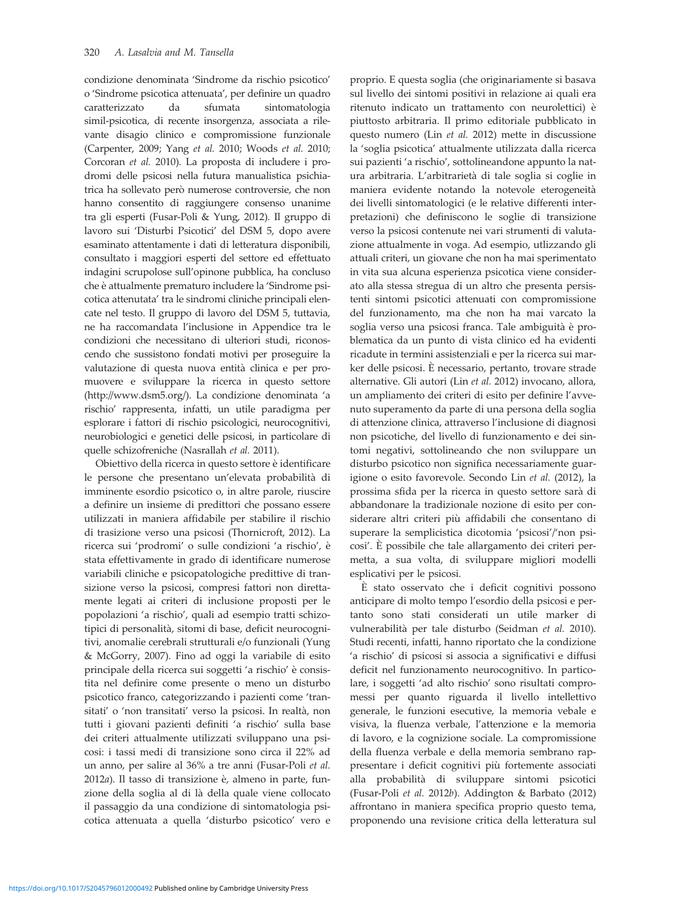condizione denominata 'Sindrome da rischio psicotico' o 'Sindrome psicotica attenuata', per definire un quadro caratterizzato da sfumata sintomatologia simil-psicotica, di recente insorgenza, associata a rilevante disagio clinico e compromissione funzionale (Carpenter, 2009; Yang et al. 2010; Woods et al. 2010; Corcoran et al. 2010). La proposta di includere i prodromi delle psicosi nella futura manualistica psichiatrica ha sollevato però numerose controversie, che non hanno consentito di raggiungere consenso unanime tra gli esperti (Fusar-Poli & Yung, 2012). Il gruppo di lavoro sui 'Disturbi Psicotici' del DSM 5, dopo avere esaminato attentamente i dati di letteratura disponibili, consultato i maggiori esperti del settore ed effettuato indagini scrupolose sull'opinone pubblica, ha concluso che è attualmente prematuro includere la 'Sindrome psicotica attenutata' tra le sindromi cliniche principali elencate nel testo. Il gruppo di lavoro del DSM 5, tuttavia, ne ha raccomandata l'inclusione in Appendice tra le condizioni che necessitano di ulteriori studi, riconoscendo che sussistono fondati motivi per proseguire la valutazione di questa nuova entità clinica e per promuovere e sviluppare la ricerca in questo settore (http://www.dsm5.org/). La condizione denominata 'a rischio' rappresenta, infatti, un utile paradigma per esplorare i fattori di rischio psicologici, neurocognitivi, neurobiologici e genetici delle psicosi, in particolare di quelle schizofreniche (Nasrallah et al. 2011).

Obiettivo della ricerca in questo settore è identificare le persone che presentano un'elevata probabilità di imminente esordio psicotico o, in altre parole, riuscire a definire un insieme di predittori che possano essere utilizzati in maniera affidabile per stabilire il rischio di trasizione verso una psicosi (Thornicroft, 2012). La ricerca sui 'prodromi' o sulle condizioni 'a rischio', è stata effettivamente in grado di identificare numerose variabili cliniche e psicopatologiche predittive di transizione verso la psicosi, compresi fattori non direttamente legati ai criteri di inclusione proposti per le popolazioni 'a rischio', quali ad esempio tratti schizotipici di personalità, sitomi di base, deficit neurocognitivi, anomalie cerebrali strutturali e/o funzionali (Yung & McGorry, 2007). Fino ad oggi la variabile di esito principale della ricerca sui soggetti 'a rischio' è consistita nel definire come presente o meno un disturbo psicotico franco, categorizzando i pazienti come 'transitati' o 'non transitati' verso la psicosi. In realtà, non tutti i giovani pazienti definiti 'a rischio' sulla base dei criteri attualmente utilizzati sviluppano una psicosi: i tassi medi di transizione sono circa il 22% ad un anno, per salire al 36% a tre anni (Fusar-Poli et al. 2012a). Il tasso di transizione è, almeno in parte, funzione della soglia al di là della quale viene collocato il passaggio da una condizione di sintomatologia psicotica attenuata a quella 'disturbo psicotico' vero e

proprio. E questa soglia (che originariamente si basava sul livello dei sintomi positivi in relazione ai quali era ritenuto indicato un trattamento con neurolettici) è piuttosto arbitraria. Il primo editoriale pubblicato in questo numero (Lin et al. 2012) mette in discussione la 'soglia psicotica' attualmente utilizzata dalla ricerca sui pazienti 'a rischio', sottolineandone appunto la natura arbitraria. L'arbitrarietà di tale soglia si coglie in maniera evidente notando la notevole eterogeneità dei livelli sintomatologici (e le relative differenti interpretazioni) che definiscono le soglie di transizione verso la psicosi contenute nei vari strumenti di valutazione attualmente in voga. Ad esempio, utlizzando gli attuali criteri, un giovane che non ha mai sperimentato in vita sua alcuna esperienza psicotica viene considerato alla stessa stregua di un altro che presenta persistenti sintomi psicotici attenuati con compromissione del funzionamento, ma che non ha mai varcato la soglia verso una psicosi franca. Tale ambiguità è problematica da un punto di vista clinico ed ha evidenti ricadute in termini assistenziali e per la ricerca sui marker delle psicosi. È necessario, pertanto, trovare strade alternative. Gli autori (Lin et al. 2012) invocano, allora, un ampliamento dei criteri di esito per definire l'avvenuto superamento da parte di una persona della soglia di attenzione clinica, attraverso l'inclusione di diagnosi non psicotiche, del livello di funzionamento e dei sintomi negativi, sottolineando che non sviluppare un disturbo psicotico non significa necessariamente guarigione o esito favorevole. Secondo Lin et al. (2012), la prossima sfida per la ricerca in questo settore sarà di abbandonare la tradizionale nozione di esito per considerare altri criteri più affidabili che consentano di superare la semplicistica dicotomia 'psicosi'/'non psicosi'. È possibile che tale allargamento dei criteri permetta, a sua volta, di sviluppare migliori modelli esplicativi per le psicosi.

È stato osservato che i deficit cognitivi possono anticipare di molto tempo l'esordio della psicosi e pertanto sono stati considerati un utile marker di vulnerabilità per tale disturbo (Seidman et al. 2010). Studi recenti, infatti, hanno riportato che la condizione 'a rischio' di psicosi si associa a significativi e diffusi deficit nel funzionamento neurocognitivo. In particolare, i soggetti 'ad alto rischio' sono risultati compromessi per quanto riguarda il livello intellettivo generale, le funzioni esecutive, la memoria vebale e visiva, la fluenza verbale, l'attenzione e la memoria di lavoro, e la cognizione sociale. La compromissione della fluenza verbale e della memoria sembrano rappresentare i deficit cognitivi più fortemente associati alla probabilità di sviluppare sintomi psicotici (Fusar-Poli et al. 2012b). Addington & Barbato (2012) affrontano in maniera specifica proprio questo tema, proponendo una revisione critica della letteratura sul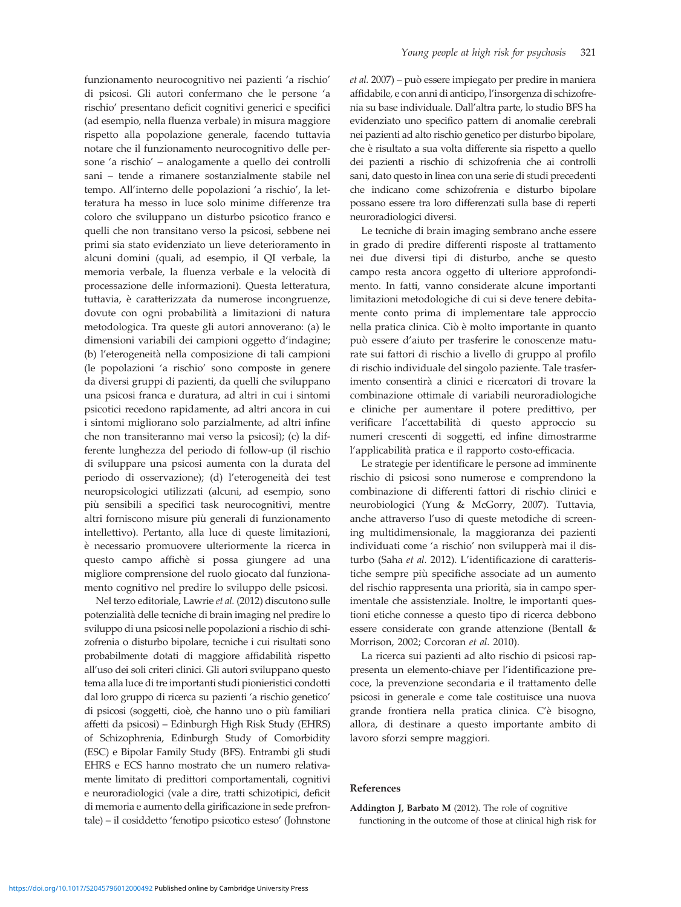funzionamento neurocognitivo nei pazienti 'a rischio' di psicosi. Gli autori confermano che le persone 'a rischio' presentano deficit cognitivi generici e specifici (ad esempio, nella fluenza verbale) in misura maggiore rispetto alla popolazione generale, facendo tuttavia notare che il funzionamento neurocognitivo delle persone 'a rischio' – analogamente a quello dei controlli sani – tende a rimanere sostanzialmente stabile nel tempo. All'interno delle popolazioni 'a rischio', la letteratura ha messo in luce solo minime differenze tra coloro che sviluppano un disturbo psicotico franco e quelli che non transitano verso la psicosi, sebbene nei primi sia stato evidenziato un lieve deterioramento in alcuni domini (quali, ad esempio, il QI verbale, la memoria verbale, la fluenza verbale e la velocità di processazione delle informazioni). Questa letteratura, tuttavia, è caratterizzata da numerose incongruenze, dovute con ogni probabilità a limitazioni di natura metodologica. Tra queste gli autori annoverano: (a) le dimensioni variabili dei campioni oggetto d'indagine; (b) l'eterogeneità nella composizione di tali campioni (le popolazioni 'a rischio' sono composte in genere da diversi gruppi di pazienti, da quelli che sviluppano una psicosi franca e duratura, ad altri in cui i sintomi psicotici recedono rapidamente, ad altri ancora in cui i sintomi migliorano solo parzialmente, ad altri infine che non transiteranno mai verso la psicosi); (c) la differente lunghezza del periodo di follow-up (il rischio di sviluppare una psicosi aumenta con la durata del periodo di osservazione); (d) l'eterogeneità dei test neuropsicologici utilizzati (alcuni, ad esempio, sono più sensibili a specifici task neurocognitivi, mentre altri forniscono misure più generali di funzionamento intellettivo). Pertanto, alla luce di queste limitazioni, è necessario promuovere ulteriormente la ricerca in questo campo affichè si possa giungere ad una migliore comprensione del ruolo giocato dal funzionamento cognitivo nel predire lo sviluppo delle psicosi.

Nel terzo editoriale, Lawrie et al. (2012) discutono sulle potenzialità delle tecniche di brain imaging nel predire lo sviluppo di una psicosi nelle popolazioni a rischio di schizofrenia o disturbo bipolare, tecniche i cui risultati sono probabilmente dotati di maggiore affidabilità rispetto all'uso dei soli criteri clinici. Gli autori sviluppano questo tema alla luce di tre importanti studi pionieristici condotti dal loro gruppo di ricerca su pazienti 'a rischio genetico' di psicosi (soggetti, cioè, che hanno uno o più familiari affetti da psicosi) – Edinburgh High Risk Study (EHRS) of Schizophrenia, Edinburgh Study of Comorbidity (ESC) e Bipolar Family Study (BFS). Entrambi gli studi EHRS e ECS hanno mostrato che un numero relativamente limitato di predittori comportamentali, cognitivi e neuroradiologici (vale a dire, tratti schizotipici, deficit di memoria e aumento della girificazione in sede prefrontale) – il cosiddetto 'fenotipo psicotico esteso' (Johnstone et al. 2007) – può essere impiegato per predire in maniera affidabile, e con anni di anticipo, l'insorgenza di schizofrenia su base individuale. Dall'altra parte, lo studio BFS ha evidenziato uno specifico pattern di anomalie cerebrali nei pazienti ad alto rischio genetico per disturbo bipolare, che è risultato a sua volta differente sia rispetto a quello dei pazienti a rischio di schizofrenia che ai controlli sani, dato questo in linea con una serie di studi precedenti che indicano come schizofrenia e disturbo bipolare possano essere tra loro differenzati sulla base di reperti neuroradiologici diversi.

Le tecniche di brain imaging sembrano anche essere in grado di predire differenti risposte al trattamento nei due diversi tipi di disturbo, anche se questo campo resta ancora oggetto di ulteriore approfondimento. In fatti, vanno considerate alcune importanti limitazioni metodologiche di cui si deve tenere debitamente conto prima di implementare tale approccio nella pratica clinica. Ciò è molto importante in quanto può essere d'aiuto per trasferire le conoscenze maturate sui fattori di rischio a livello di gruppo al profilo di rischio individuale del singolo paziente. Tale trasferimento consentirà a clinici e ricercatori di trovare la combinazione ottimale di variabili neuroradiologiche e cliniche per aumentare il potere predittivo, per verificare l'accettabilità di questo approccio su numeri crescenti di soggetti, ed infine dimostrarme l'applicabilità pratica e il rapporto costo-efficacia.

Le strategie per identificare le persone ad imminente rischio di psicosi sono numerose e comprendono la combinazione di differenti fattori di rischio clinici e neurobiologici (Yung & McGorry, 2007). Tuttavia, anche attraverso l'uso di queste metodiche di screening multidimensionale, la maggioranza dei pazienti individuati come 'a rischio' non svilupperà mai il disturbo (Saha et al. 2012). L'identificazione di caratteristiche sempre più specifiche associate ad un aumento del rischio rappresenta una priorità, sia in campo sperimentale che assistenziale. Inoltre, le importanti questioni etiche connesse a questo tipo di ricerca debbono essere considerate con grande attenzione (Bentall & Morrison, 2002; Corcoran et al. 2010).

La ricerca sui pazienti ad alto rischio di psicosi rappresenta un elemento-chiave per l'identificazione precoce, la prevenzione secondaria e il trattamento delle psicosi in generale e come tale costituisce una nuova grande frontiera nella pratica clinica. C'è bisogno, allora, di destinare a questo importante ambito di lavoro sforzi sempre maggiori.

## References

Addington J, Barbato M (2012). The role of cognitive functioning in the outcome of those at clinical high risk for